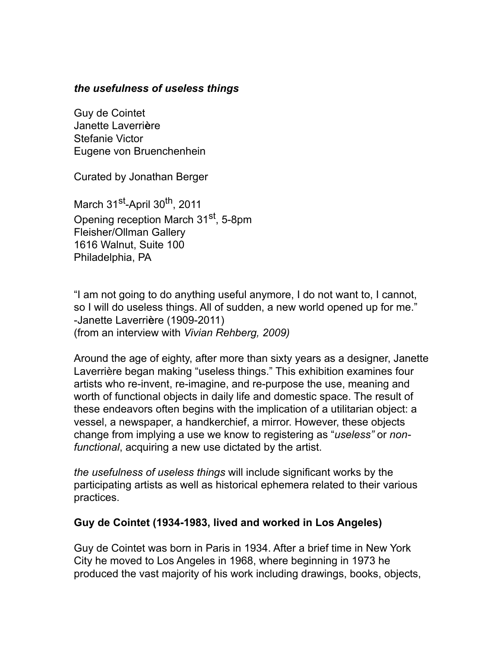#### *the usefulness of useless things*

Guy de Cointet Janette Laverri**è**re Stefanie Victor Eugene von Bruenchenhein

Curated by Jonathan Berger

March 31<sup>st</sup>-April 30<sup>th</sup>, 2011 Opening reception March 31<sup>st</sup>, 5-8pm Fleisher/Ollman Gallery 1616 Walnut, Suite 100 Philadelphia, PA

"I am not going to do anything useful anymore, I do not want to, I cannot, so I will do useless things. All of sudden, a new world opened up for me." -Janette Laverri**è**re (1909-2011) (from an interview with *Vivian Rehberg, 2009)*

Around the age of eighty, after more than sixty years as a designer, Janette Laverrière began making "useless things." This exhibition examines four artists who re-invent, re-imagine, and re-purpose the use, meaning and worth of functional objects in daily life and domestic space. The result of these endeavors often begins with the implication of a utilitarian object: a vessel, a newspaper, a handkerchief, a mirror. However, these objects change from implying a use we know to registering as "*useless"* or *nonfunctional*, acquiring a new use dictated by the artist.

*the usefulness of useless things* will include significant works by the participating artists as well as historical ephemera related to their various practices.

#### **Guy de Cointet (1934-1983, lived and worked in Los Angeles)**

Guy de Cointet was born in Paris in 1934. After a brief time in New York City he moved to Los Angeles in 1968, where beginning in 1973 he produced the vast majority of his work including drawings, books, objects,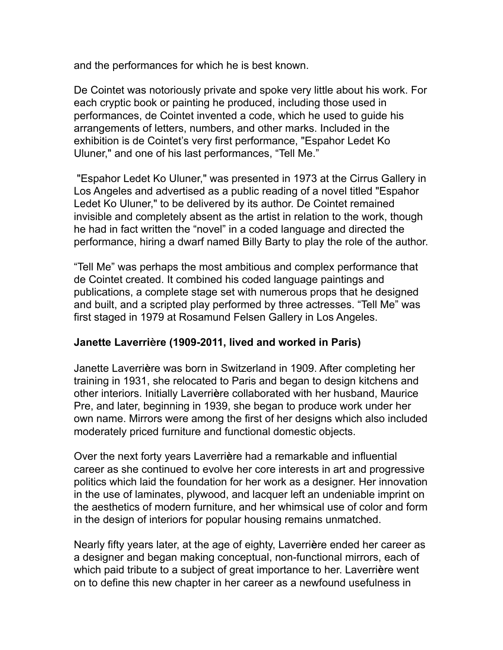and the performances for which he is best known.

De Cointet was notoriously private and spoke very little about his work. For each cryptic book or painting he produced, including those used in performances, de Cointet invented a code, which he used to guide his arrangements of letters, numbers, and other marks. Included in the exhibition is de Cointet's very first performance, "Espahor Ledet Ko Uluner," and one of his last performances, "Tell Me."

 "Espahor Ledet Ko Uluner," was presented in 1973 at the Cirrus Gallery in Los Angeles and advertised as a public reading of a novel titled "Espahor Ledet Ko Uluner," to be delivered by its author. De Cointet remained invisible and completely absent as the artist in relation to the work, though he had in fact written the "novel" in a coded language and directed the performance, hiring a dwarf named Billy Barty to play the role of the author.

"Tell Me" was perhaps the most ambitious and complex performance that de Cointet created. It combined his coded language paintings and publications, a complete stage set with numerous props that he designed and built, and a scripted play performed by three actresses. "Tell Me" was first staged in 1979 at Rosamund Felsen Gallery in Los Angeles.

### **Janette Laverrière (1909-2011, lived and worked in Paris)**

Janette Laverri**è**re was born in Switzerland in 1909. After completing her training in 1931, she relocated to Paris and began to design kitchens and other interiors. Initially Laverri**è**re collaborated with her husband, Maurice Pre, and later, beginning in 1939, she began to produce work under her own name. Mirrors were among the first of her designs which also included moderately priced furniture and functional domestic objects.

Over the next forty years Laverri**è**re had a remarkable and influential career as she continued to evolve her core interests in art and progressive politics which laid the foundation for her work as a designer. Her innovation in the use of laminates, plywood, and lacquer left an undeniable imprint on the aesthetics of modern furniture, and her whimsical use of color and form in the design of interiors for popular housing remains unmatched.

Nearly fifty years later, at the age of eighty, Laverri**è**re ended her career as a designer and began making conceptual, non-functional mirrors, each of which paid tribute to a subject of great importance to her. Laverri**è**re went on to define this new chapter in her career as a newfound usefulness in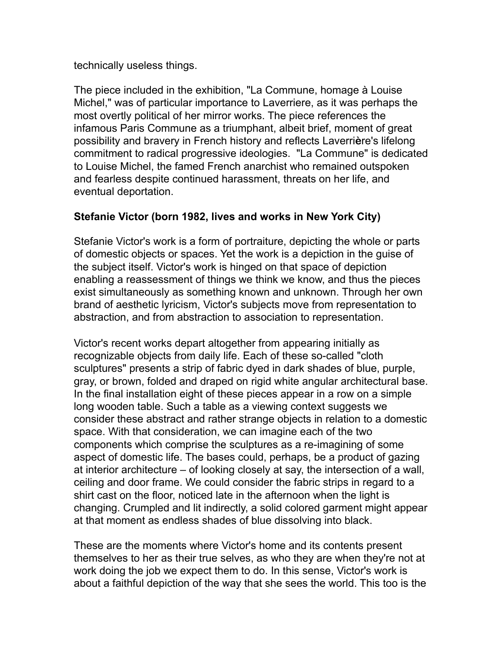#### technically useless things.

The piece included in the exhibition, "La Commune, homage à Louise Michel," was of particular importance to Laverriere, as it was perhaps the most overtly political of her mirror works. The piece references the infamous Paris Commune as a triumphant, albeit brief, moment of great possibility and bravery in French history and reflects Laverri**è**re's lifelong commitment to radical progressive ideologies. "La Commune" is dedicated to Louise Michel, the famed French anarchist who remained outspoken and fearless despite continued harassment, threats on her life, and eventual deportation.

# **Stefanie Victor (born 1982, lives and works in New York City)**

Stefanie Victor's work is a form of portraiture, depicting the whole or parts of domestic objects or spaces. Yet the work is a depiction in the guise of the subject itself. Victor's work is hinged on that space of depiction enabling a reassessment of things we think we know, and thus the pieces exist simultaneously as something known and unknown. Through her own brand of aesthetic lyricism, Victor's subjects move from representation to abstraction, and from abstraction to association to representation.

Victor's recent works depart altogether from appearing initially as recognizable objects from daily life. Each of these so-called "cloth sculptures" presents a strip of fabric dyed in dark shades of blue, purple, gray, or brown, folded and draped on rigid white angular architectural base. In the final installation eight of these pieces appear in a row on a simple long wooden table. Such a table as a viewing context suggests we consider these abstract and rather strange objects in relation to a domestic space. With that consideration, we can imagine each of the two components which comprise the sculptures as a re-imagining of some aspect of domestic life. The bases could, perhaps, be a product of gazing at interior architecture – of looking closely at say, the intersection of a wall, ceiling and door frame. We could consider the fabric strips in regard to a shirt cast on the floor, noticed late in the afternoon when the light is changing. Crumpled and lit indirectly, a solid colored garment might appear at that moment as endless shades of blue dissolving into black.

These are the moments where Victor's home and its contents present themselves to her as their true selves, as who they are when they're not at work doing the job we expect them to do. In this sense, Victor's work is about a faithful depiction of the way that she sees the world. This too is the